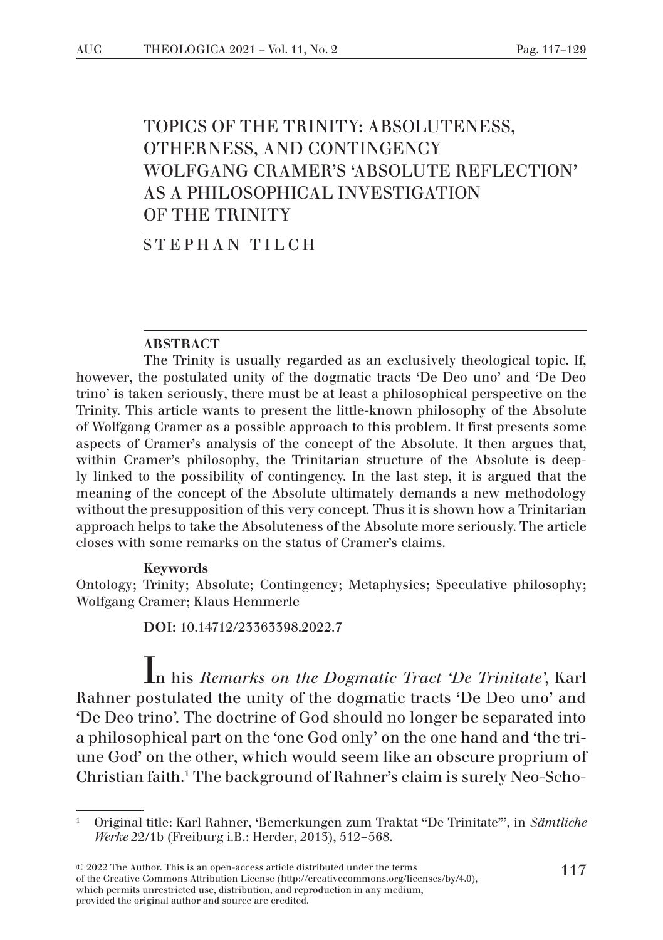# TOPICS OF THE TRINITY: ABSOLUTENESS, OTHERNESS, AND CONTINGENCY WOLFGANG CRAMER'S 'ABSOLUTE REFLECTION' AS A PHILOSOPHICAL INVESTIGATION OF THE TRINITY

STEPHAN TILCH

#### ABSTRACT

The Trinity is usually regarded as an exclusively theological topic. If, however, the postulated unity of the dogmatic tracts 'De Deo uno' and 'De Deo trino' is taken seriously, there must be at least a philosophical perspective on the Trinity. This article wants to present the little-known philosophy of the Absolute of Wolfgang Cramer as a possible approach to this problem. It first presents some aspects of Cramer's analysis of the concept of the Absolute. It then argues that, within Cramer's philosophy, the Trinitarian structure of the Absolute is deeply linked to the possibility of contingency. In the last step, it is argued that the meaning of the concept of the Absolute ultimately demands a new methodology without the presupposition of this very concept. Thus it is shown how a Trinitarian approach helps to take the Absoluteness of the Absolute more seriously. The article closes with some remarks on the status of Cramer's claims.

### Keywords

Ontology; Trinity; Absolute; Contingency; Metaphysics; Speculative philosophy; Wolfgang Cramer; Klaus Hemmerle

DOI: 10.14712/23363398.2022.7

In his *Remarks on the Dogmatic Tract 'De Trinitate'*, Karl Rahner postulated the unity of the dogmatic tracts 'De Deo uno' and 'De Deo trino'. The doctrine of God should no longer be separated into a philosophical part on the 'one God only' on the one hand and 'the triune God' on the other, which would seem like an obscure proprium of Christian faith.<sup>1</sup> The background of Rahner's claim is surely Neo-Scho-

<sup>1</sup> Original title: Karl Rahner, 'Bemerkungen zum Traktat "De Trinitate"', in *Sämtliche Werke* 22/1b (Freiburg i.B.: Herder, 2013), 512–568.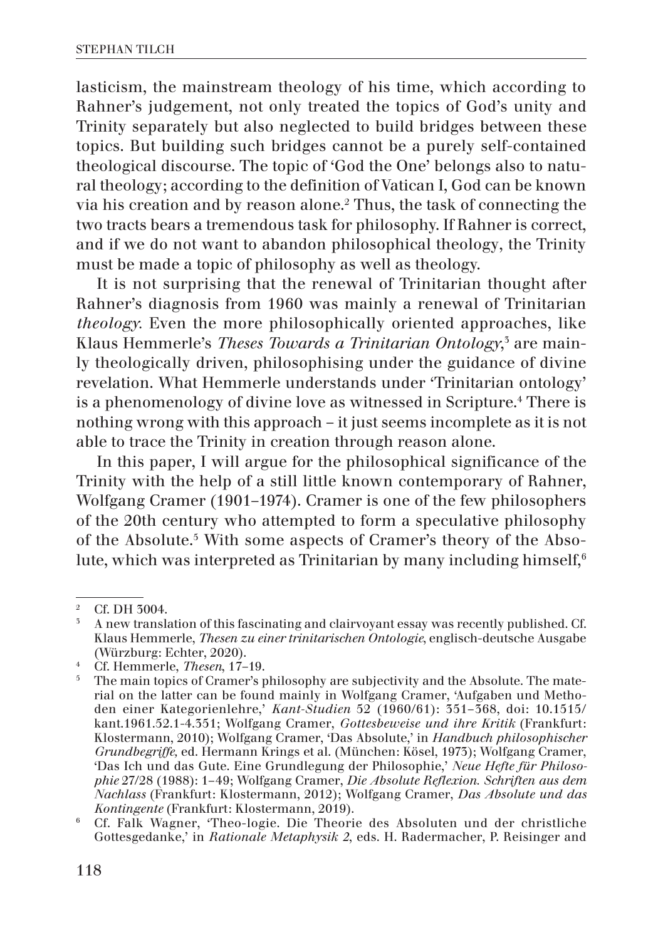lasticism, the mainstream theology of his time, which according to Rahner's judgement, not only treated the topics of God's unity and Trinity separately but also neglected to build bridges between these topics. But building such bridges cannot be a purely self-contained theological discourse. The topic of 'God the One' belongs also to natural theology; according to the definition of Vatican I, God can be known via his creation and by reason alone.2 Thus, the task of connecting the two tracts bears a tremendous task for philosophy. If Rahner is correct, and if we do not want to abandon philosophical theology, the Trinity must be made a topic of philosophy as well as theology.

It is not surprising that the renewal of Trinitarian thought after Rahner's diagnosis from 1960 was mainly a renewal of Trinitarian *theology.* Even the more philosophically oriented approaches, like Klaus Hemmerle's *Theses Towards a Trinitarian Ontology*, 3 are mainly theologically driven, philosophising under the guidance of divine revelation. What Hemmerle understands under 'Trinitarian ontology' is a phenomenology of divine love as witnessed in Scripture.<sup>4</sup> There is nothing wrong with this approach – it just seems incomplete as it is not able to trace the Trinity in creation through reason alone.

In this paper, I will argue for the philosophical significance of the Trinity with the help of a still little known contemporary of Rahner, Wolfgang Cramer (1901–1974). Cramer is one of the few philosophers of the 20th century who attempted to form a speculative philosophy of the Absolute.<sup>5</sup> With some aspects of Cramer's theory of the Absolute, which was interpreted as Trinitarian by many including himself,<sup>6</sup>

<sup>&</sup>lt;sup>2</sup> Cf. DH  $\frac{3004}{100}$ 

<sup>3</sup> A new translation of this fascinating and clairvoyant essay was recently published. Cf. Klaus Hemmerle, *Thesen zu einer trinitarischen Ontologie*, englisch-deutsche Ausgabe (Würzburg: Echter, 2020).

<sup>4</sup> Cf. Hemmerle, *Thesen*, 17–19.

<sup>5</sup> The main topics of Cramer's philosophy are subjectivity and the Absolute. The material on the latter can be found mainly in Wolfgang Cramer, 'Aufgaben und Methoden einer Kategorienlehre,' *Kant-Studien* 52 (1960/61): 351–368, doi: 10.1515/ kant.1961.52.1-4.351; Wolfgang Cramer, *Gottesbeweise und ihre Kritik* (Frankfurt: Klostermann, 2010); Wolfgang Cramer, 'Das Absolute,' in *Handbuch philosophischer Grundbegriffe,* ed. Hermann Krings et al. (München: Kösel, 1973); Wolfgang Cramer, 'Das Ich und das Gute. Eine Grundlegung der Philosophie,' *Neue Hefte für Philosophie* 27/28 (1988): 1–49; Wolfgang Cramer, *Die Absolute Reflexion. Schriften aus dem Nachlass* (Frankfurt: Klostermann, 2012); Wolfgang Cramer, *Das Absolute und das Kontingente* (Frankfurt: Klostermann, 2019).

<sup>6</sup> Cf. Falk Wagner, 'Theo-logie. Die Theorie des Absoluten und der christliche Gottesgedanke,' in *Rationale Metaphysik 2*, eds. H. Radermacher, P. Reisinger and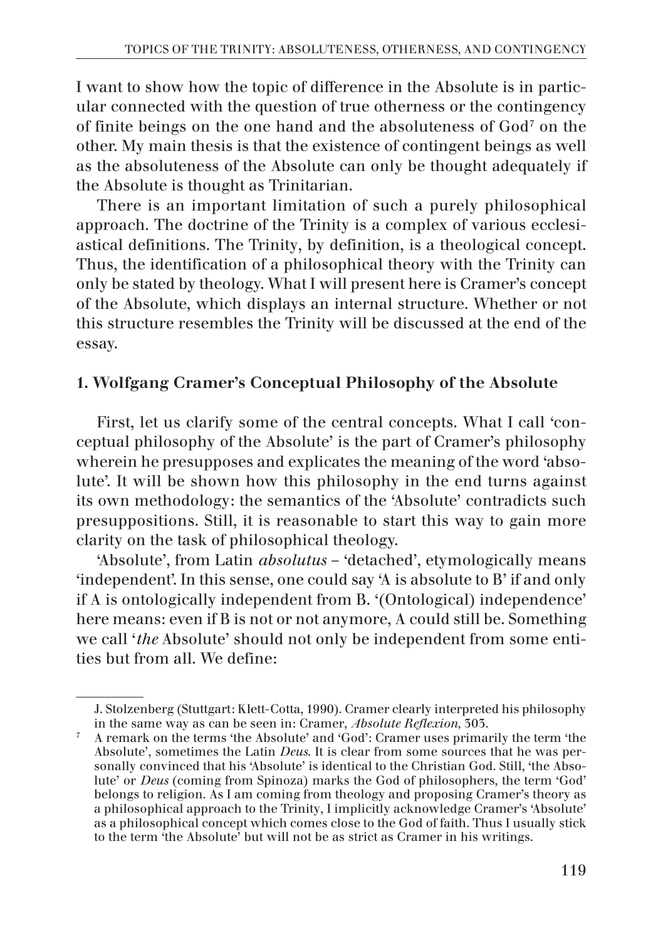I want to show how the topic of difference in the Absolute is in particular connected with the question of true otherness or the contingency of finite beings on the one hand and the absoluteness of God7 on the other. My main thesis is that the existence of contingent beings as well as the absoluteness of the Absolute can only be thought adequately if the Absolute is thought as Trinitarian.

There is an important limitation of such a purely philosophical approach. The doctrine of the Trinity is a complex of various ecclesiastical definitions. The Trinity, by definition, is a theological concept. Thus, the identification of a philosophical theory with the Trinity can only be stated by theology. What I will present here is Cramer's concept of the Absolute, which displays an internal structure. Whether or not this structure resembles the Trinity will be discussed at the end of the essay.

# 1. Wolfgang Cramer's Conceptual Philosophy of the Absolute

First, let us clarify some of the central concepts. What I call 'conceptual philosophy of the Absolute' is the part of Cramer's philosophy wherein he presupposes and explicates the meaning of the word 'absolute'. It will be shown how this philosophy in the end turns against its own methodology: the semantics of the 'Absolute' contradicts such presuppositions. Still, it is reasonable to start this way to gain more clarity on the task of philosophical theology.

'Absolute', from Latin *absolutus* – 'detached', etymologically means 'independent'. In this sense, one could say 'A is absolute to B' if and only if A is ontologically independent from B. '(Ontological) independence' here means: even if B is not or not anymore, A could still be. Something we call '*the* Absolute' should not only be independent from some entities but from all. We define:

J. Stolzenberg (Stuttgart: Klett-Cotta, 1990). Cramer clearly interpreted his philosophy in the same way as can be seen in: Cramer, *Absolute Reflexion,* 303.

 $\frac{7}{1}$  A remark on the terms 'the Absolute' and 'God': Cramer uses primarily the term 'the Absolute', sometimes the Latin *Deus*. It is clear from some sources that he was personally convinced that his 'Absolute' is identical to the Christian God. Still, 'the Absolute' or *Deus* (coming from Spinoza) marks the God of philosophers, the term 'God' belongs to religion. As I am coming from theology and proposing Cramer's theory as a philosophical approach to the Trinity, I implicitly acknowledge Cramer's 'Absolute' as a philosophical concept which comes close to the God of faith. Thus I usually stick to the term 'the Absolute' but will not be as strict as Cramer in his writings.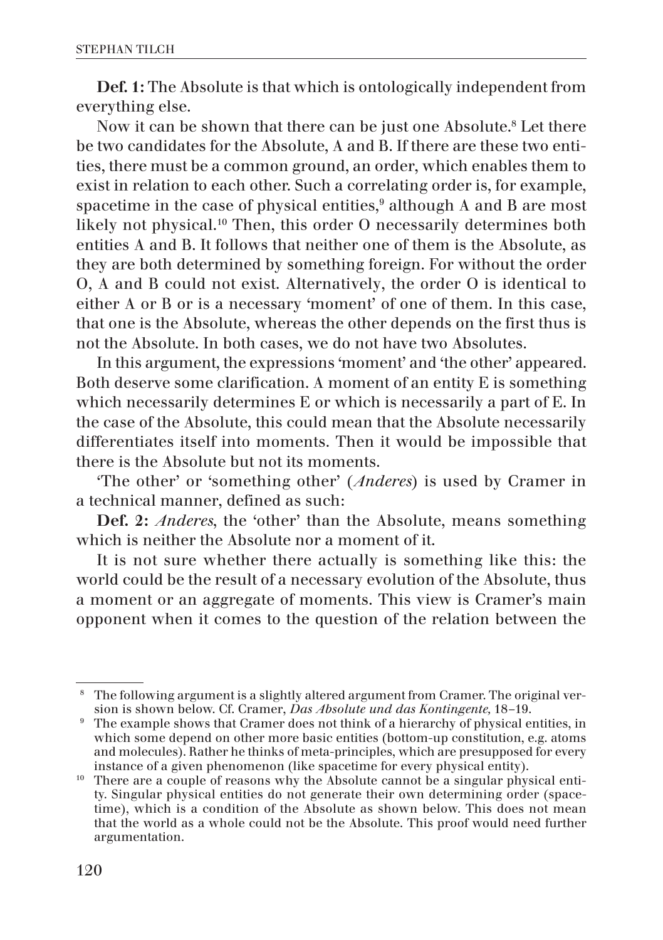Def. 1: The Absolute is that which is ontologically independent from everything else.

Now it can be shown that there can be just one Absolute.<sup>8</sup> Let there be two candidates for the Absolute, A and B. If there are these two entities, there must be a common ground, an order, which enables them to exist in relation to each other. Such a correlating order is, for example, spacetime in the case of physical entities, $^9$  although A and B are most likely not physical.10 Then, this order O necessarily determines both entities A and B. It follows that neither one of them is the Absolute, as they are both determined by something foreign. For without the order O, A and B could not exist. Alternatively, the order O is identical to either A or B or is a necessary 'moment' of one of them. In this case, that one is the Absolute, whereas the other depends on the first thus is not the Absolute. In both cases, we do not have two Absolutes.

In this argument, the expressions 'moment' and 'the other' appeared. Both deserve some clarification. A moment of an entity E is something which necessarily determines E or which is necessarily a part of E. In the case of the Absolute, this could mean that the Absolute necessarily differentiates itself into moments. Then it would be impossible that there is the Absolute but not its moments.

'The other' or 'something other' (*Anderes*) is used by Cramer in a technical manner, defined as such:

Def. 2: *Anderes*, the 'other' than the Absolute, means something which is neither the Absolute nor a moment of it.

It is not sure whether there actually is something like this: the world could be the result of a necessary evolution of the Absolute, thus a moment or an aggregate of moments. This view is Cramer's main opponent when it comes to the question of the relation between the

<sup>&</sup>lt;sup>8</sup> The following argument is a slightly altered argument from Cramer. The original version is shown below. Cf. Cramer, *Das Absolute und das Kontingente,* 18–19.

<sup>&</sup>lt;sup>9</sup> The example shows that Cramer does not think of a hierarchy of physical entities, in which some depend on other more basic entities (bottom-up constitution, e.g. atoms and molecules). Rather he thinks of meta-principles, which are presupposed for every instance of a given phenomenon (like spacetime for every physical entity).

<sup>&</sup>lt;sup>10</sup> There are a couple of reasons why the Absolute cannot be a singular physical entity. Singular physical entities do not generate their own determining order (spacetime), which is a condition of the Absolute as shown below. This does not mean that the world as a whole could not be the Absolute. This proof would need further argumentation.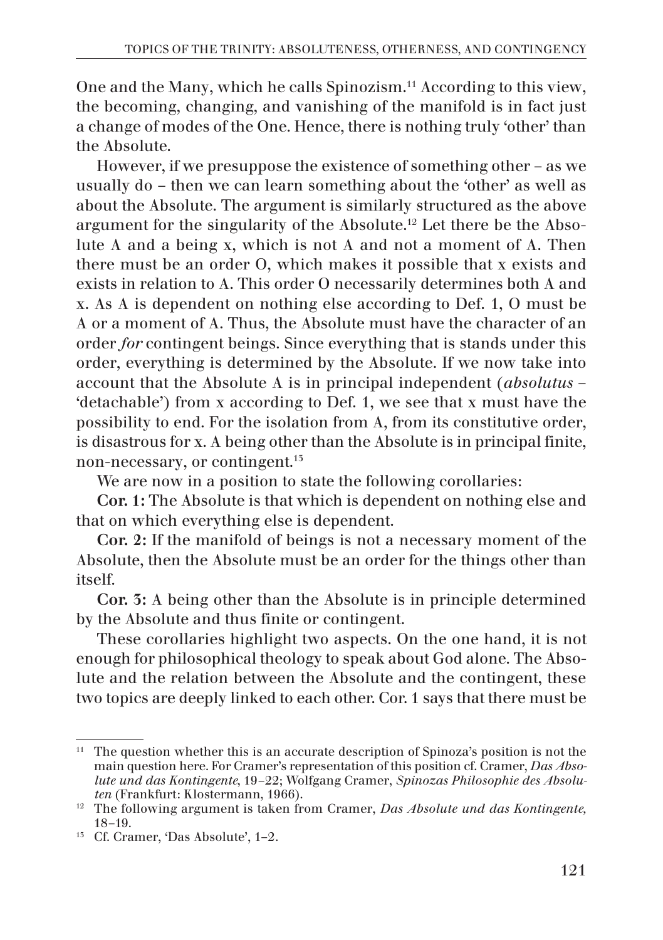One and the Many, which he calls Spinozism.<sup>11</sup> According to this view, the becoming, changing, and vanishing of the manifold is in fact just a change of modes of the One. Hence, there is nothing truly 'other' than the Absolute.

However, if we presuppose the existence of something other – as we usually do – then we can learn something about the 'other' as well as about the Absolute. The argument is similarly structured as the above argument for the singularity of the Absolute.12 Let there be the Absolute A and a being x, which is not A and not a moment of A. Then there must be an order O, which makes it possible that x exists and exists in relation to A. This order O necessarily determines both A and x. As A is dependent on nothing else according to Def. 1, O must be A or a moment of A. Thus, the Absolute must have the character of an order *for* contingent beings. Since everything that is stands under this order, everything is determined by the Absolute. If we now take into account that the Absolute A is in principal independent (*absolutus* – 'detachable') from x according to Def. 1, we see that x must have the possibility to end. For the isolation from A, from its constitutive order, is disastrous for x. A being other than the Absolute is in principal finite, non-necessary, or contingent.13

We are now in a position to state the following corollaries:

Cor. 1: The Absolute is that which is dependent on nothing else and that on which everything else is dependent.

Cor. 2: If the manifold of beings is not a necessary moment of the Absolute, then the Absolute must be an order for the things other than itself.

Cor. 3: A being other than the Absolute is in principle determined by the Absolute and thus finite or contingent.

These corollaries highlight two aspects. On the one hand, it is not enough for philosophical theology to speak about God alone. The Absolute and the relation between the Absolute and the contingent, these two topics are deeply linked to each other. Cor. 1 says that there must be

<sup>&</sup>lt;sup>11</sup> The question whether this is an accurate description of Spinoza's position is not the main question here. For Cramer's representation of this position cf. Cramer, *Das Absolute und das Kontingente*, 19–22; Wolfgang Cramer, *Spinozas Philosophie des Absoluten* (Frankfurt: Klostermann, 1966).

<sup>12</sup> The following argument is taken from Cramer, *Das Absolute und das Kontingente,* 18–19.

<sup>13</sup> Cf. Cramer, 'Das Absolute', 1–2.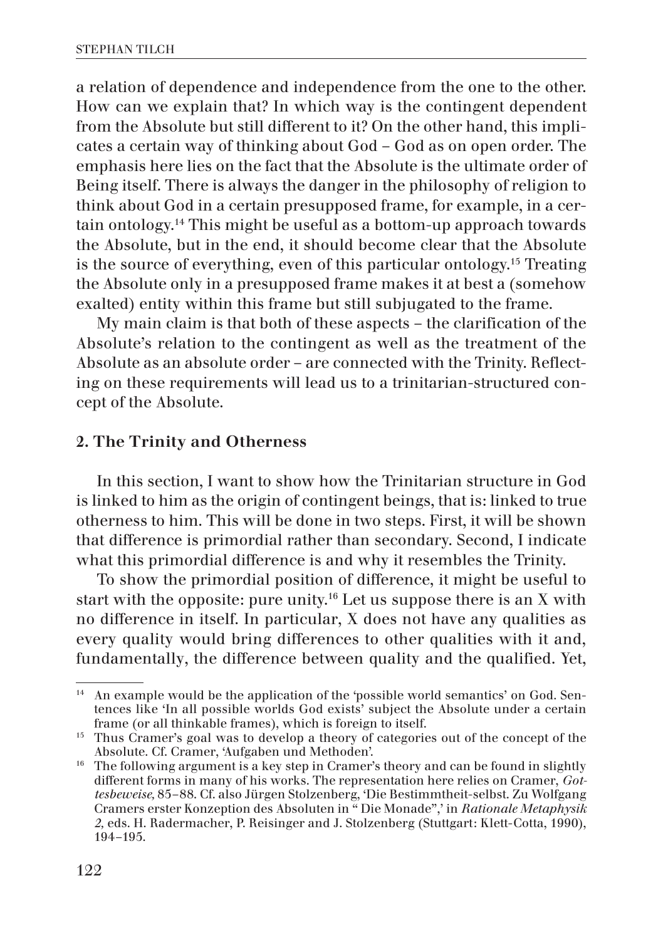a relation of dependence and independence from the one to the other. How can we explain that? In which way is the contingent dependent from the Absolute but still different to it? On the other hand, this implicates a certain way of thinking about God – God as on open order. The emphasis here lies on the fact that the Absolute is the ultimate order of Being itself. There is always the danger in the philosophy of religion to think about God in a certain presupposed frame, for example, in a certain ontology.14 This might be useful as a bottom-up approach towards the Absolute, but in the end, it should become clear that the Absolute is the source of everything, even of this particular ontology.15 Treating the Absolute only in a presupposed frame makes it at best a (somehow exalted) entity within this frame but still subjugated to the frame.

My main claim is that both of these aspects – the clarification of the Absolute's relation to the contingent as well as the treatment of the Absolute as an absolute order – are connected with the Trinity. Reflecting on these requirements will lead us to a trinitarian-structured concept of the Absolute.

## 2. The Trinity and Otherness

In this section, I want to show how the Trinitarian structure in God is linked to him as the origin of contingent beings, that is: linked to true otherness to him. This will be done in two steps. First, it will be shown that difference is primordial rather than secondary. Second, I indicate what this primordial difference is and why it resembles the Trinity.

To show the primordial position of difference, it might be useful to start with the opposite: pure unity.<sup>16</sup> Let us suppose there is an X with no difference in itself. In particular, X does not have any qualities as every quality would bring differences to other qualities with it and, fundamentally, the difference between quality and the qualified. Yet,

<sup>&</sup>lt;sup>14</sup> An example would be the application of the 'possible world semantics' on God. Sentences like 'In all possible worlds God exists' subject the Absolute under a certain frame (or all thinkable frames), which is foreign to itself.

<sup>&</sup>lt;sup>15</sup> Thus Cramer's goal was to develop a theory of categories out of the concept of the Absolute. Cf. Cramer, 'Aufgaben und Methoden'.

<sup>&</sup>lt;sup>16</sup> The following argument is a key step in Cramer's theory and can be found in slightly different forms in many of his works. The representation here relies on Cramer, *Gottesbeweise,* 85–88. Cf. also Jürgen Stolzenberg, 'Die Bestimmtheit-selbst. Zu Wolfgang Cramers erster Konzeption des Absoluten in " Die Monade",' in *Rationale Metaphysik 2,* eds. H. Radermacher, P. Reisinger and J. Stolzenberg (Stuttgart: Klett-Cotta, 1990), 194–195.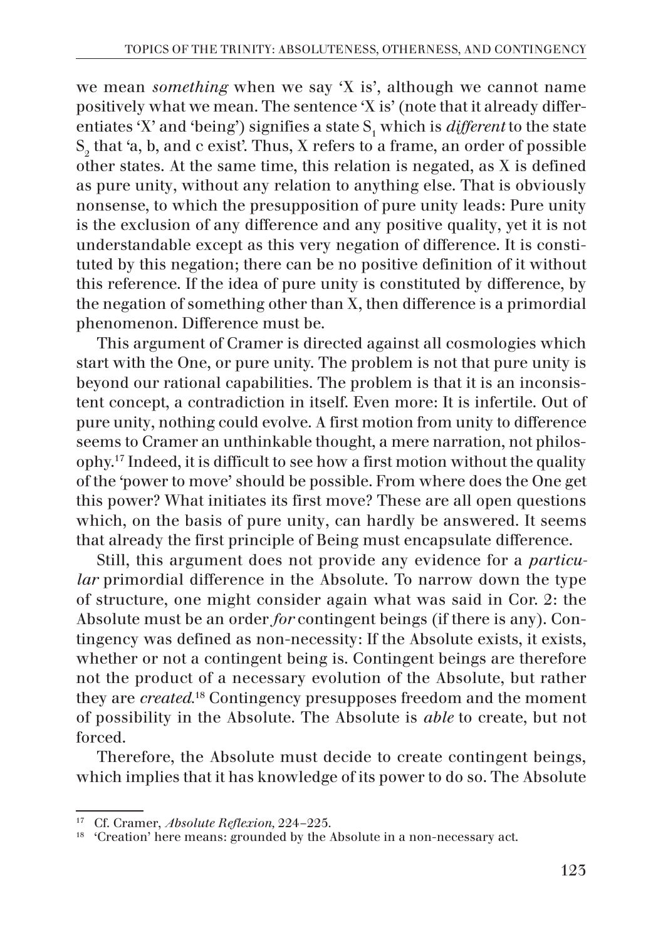we mean *something* when we say 'X is', although we cannot name positively what we mean. The sentence 'X is' (note that it already differentiates 'X' and 'being') signifies a state  $S<sub>1</sub>$  which is *different* to the state  $\mathcal{S}_2$  that 'a, b, and c exist'. Thus, X refers to a frame, an order of possible other states. At the same time, this relation is negated, as X is defined as pure unity, without any relation to anything else. That is obviously nonsense, to which the presupposition of pure unity leads: Pure unity is the exclusion of any difference and any positive quality, yet it is not understandable except as this very negation of difference. It is constituted by this negation; there can be no positive definition of it without this reference. If the idea of pure unity is constituted by difference, by the negation of something other than X, then difference is a primordial phenomenon. Difference must be.

This argument of Cramer is directed against all cosmologies which start with the One, or pure unity. The problem is not that pure unity is beyond our rational capabilities. The problem is that it is an inconsistent concept, a contradiction in itself. Even more: It is infertile. Out of pure unity, nothing could evolve. A first motion from unity to difference seems to Cramer an unthinkable thought, a mere narration, not philosophy.17 Indeed, it is difficult to see how a first motion without the quality of the 'power to move' should be possible. From where does the One get this power? What initiates its first move? These are all open questions which, on the basis of pure unity, can hardly be answered. It seems that already the first principle of Being must encapsulate difference.

Still, this argument does not provide any evidence for a *particular* primordial difference in the Absolute. To narrow down the type of structure, one might consider again what was said in Cor. 2: the Absolute must be an order *for* contingent beings (if there is any). Contingency was defined as non-necessity: If the Absolute exists, it exists, whether or not a contingent being is. Contingent beings are therefore not the product of a necessary evolution of the Absolute, but rather they are *created.*18 Contingency presupposes freedom and the moment of possibility in the Absolute. The Absolute is *able* to create, but not forced.

Therefore, the Absolute must decide to create contingent beings, which implies that it has knowledge of its power to do so. The Absolute

<sup>17</sup> Cf. Cramer, *Absolute Reflexion,* 224–225.

<sup>&</sup>lt;sup>18</sup> 'Creation' here means: grounded by the Absolute in a non-necessary act.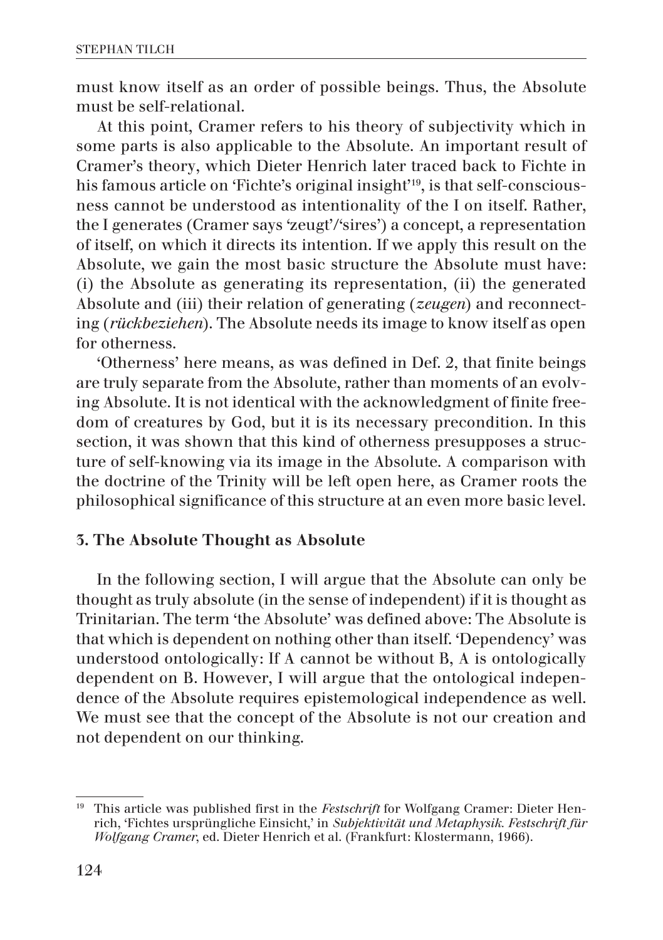must know itself as an order of possible beings. Thus, the Absolute must be self-relational.

At this point, Cramer refers to his theory of subjectivity which in some parts is also applicable to the Absolute. An important result of Cramer's theory, which Dieter Henrich later traced back to Fichte in his famous article on 'Fichte's original insight'19, is that self-consciousness cannot be understood as intentionality of the I on itself. Rather, the I generates (Cramer says 'zeugt'/'sires') a concept, a representation of itself, on which it directs its intention. If we apply this result on the Absolute, we gain the most basic structure the Absolute must have: (i) the Absolute as generating its representation, (ii) the generated Absolute and (iii) their relation of generating (*zeugen*) and reconnecting (*rückbeziehen*). The Absolute needs its image to know itself as open for otherness.

'Otherness' here means, as was defined in Def. 2, that finite beings are truly separate from the Absolute, rather than moments of an evolving Absolute. It is not identical with the acknowledgment of finite freedom of creatures by God, but it is its necessary precondition. In this section, it was shown that this kind of otherness presupposes a structure of self-knowing via its image in the Absolute. A comparison with the doctrine of the Trinity will be left open here, as Cramer roots the philosophical significance of this structure at an even more basic level.

# 3. The Absolute Thought as Absolute

In the following section, I will argue that the Absolute can only be thought as truly absolute (in the sense of independent) if it is thought as Trinitarian. The term 'the Absolute' was defined above: The Absolute is that which is dependent on nothing other than itself. 'Dependency' was understood ontologically: If A cannot be without B, A is ontologically dependent on B. However, I will argue that the ontological independence of the Absolute requires epistemological independence as well. We must see that the concept of the Absolute is not our creation and not dependent on our thinking.

<sup>19</sup> This article was published first in the *Festschrift* for Wolfgang Cramer: Dieter Henrich, 'Fichtes ursprüngliche Einsicht,' in *Subjektivität und Metaphysik. Festschrift für Wolfgang Cramer*, ed. Dieter Henrich et al. (Frankfurt: Klostermann, 1966).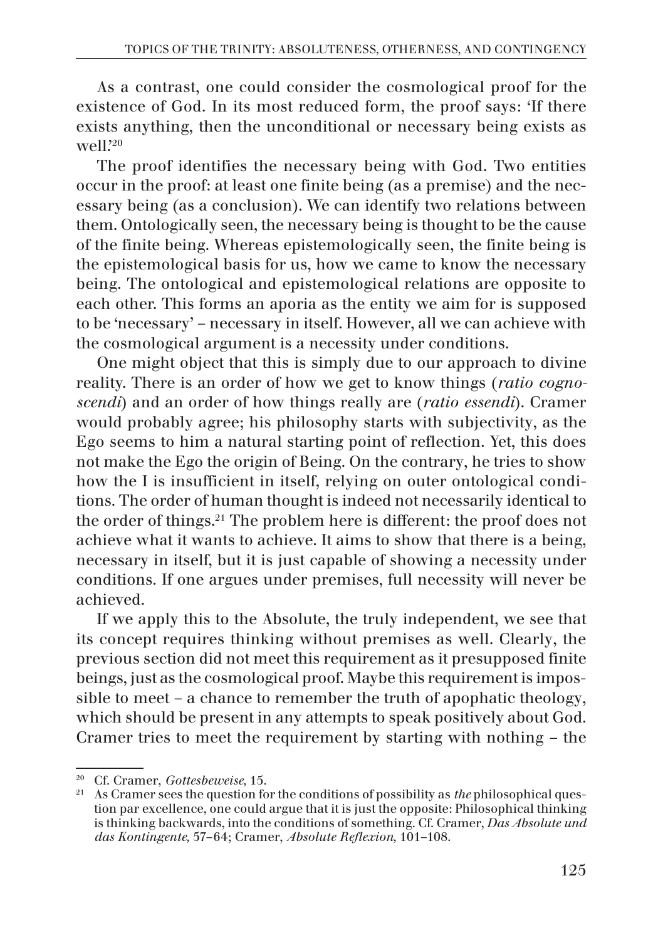As a contrast, one could consider the cosmological proof for the existence of God. In its most reduced form, the proof says: 'If there exists anything, then the unconditional or necessary being exists as well.'20

The proof identifies the necessary being with God. Two entities occur in the proof: at least one finite being (as a premise) and the necessary being (as a conclusion). We can identify two relations between them. Ontologically seen, the necessary being is thought to be the cause of the finite being. Whereas epistemologically seen, the finite being is the epistemological basis for us, how we came to know the necessary being. The ontological and epistemological relations are opposite to each other. This forms an aporia as the entity we aim for is supposed to be 'necessary' – necessary in itself. However, all we can achieve with the cosmological argument is a necessity under conditions.

One might object that this is simply due to our approach to divine reality. There is an order of how we get to know things (*ratio cognoscendi*) and an order of how things really are (*ratio essendi*). Cramer would probably agree; his philosophy starts with subjectivity, as the Ego seems to him a natural starting point of reflection. Yet, this does not make the Ego the origin of Being. On the contrary, he tries to show how the I is insufficient in itself, relying on outer ontological conditions. The order of human thought is indeed not necessarily identical to the order of things.21 The problem here is different: the proof does not achieve what it wants to achieve. It aims to show that there is a being, necessary in itself, but it is just capable of showing a necessity under conditions. If one argues under premises, full necessity will never be achieved.

If we apply this to the Absolute, the truly independent, we see that its concept requires thinking without premises as well. Clearly, the previous section did not meet this requirement as it presupposed finite beings, just as the cosmological proof. Maybe this requirement is impossible to meet – a chance to remember the truth of apophatic theology, which should be present in any attempts to speak positively about God. Cramer tries to meet the requirement by starting with nothing – the

<sup>20</sup> Cf. Cramer, *Gottesbeweise,* 15.

<sup>21</sup> As Cramer sees the question for the conditions of possibility as *the* philosophical question par excellence, one could argue that it is just the opposite: Philosophical thinking is thinking backwards, into the conditions of something. Cf. Cramer, *Das Absolute und das Kontingente,* 57–64; Cramer, *Absolute Reflexion,* 101–108.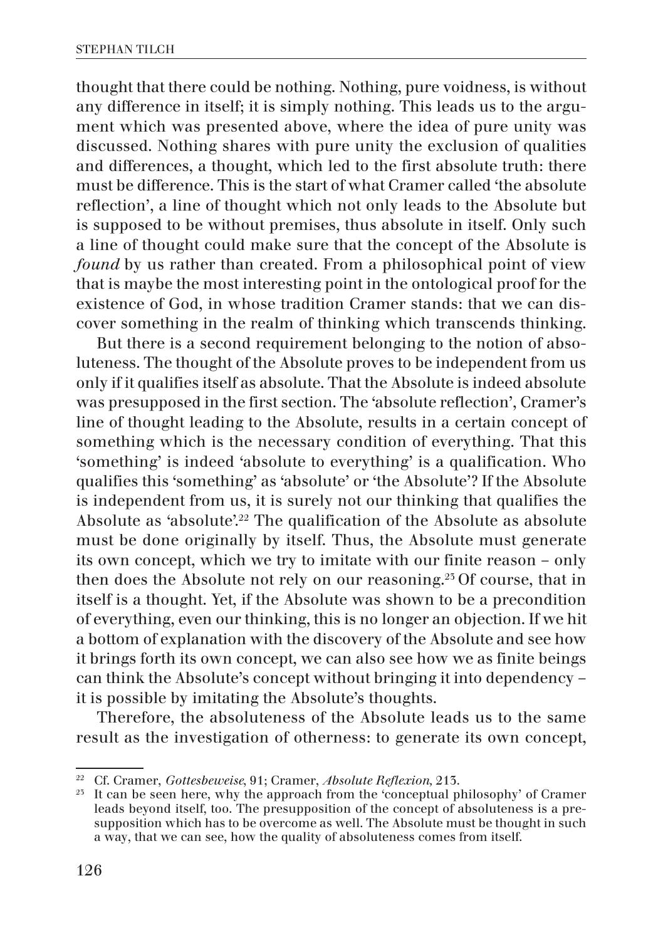thought that there could be nothing. Nothing, pure voidness, is without any difference in itself; it is simply nothing. This leads us to the argument which was presented above, where the idea of pure unity was discussed. Nothing shares with pure unity the exclusion of qualities and differences, a thought, which led to the first absolute truth: there must be difference. This is the start of what Cramer called 'the absolute reflection', a line of thought which not only leads to the Absolute but is supposed to be without premises, thus absolute in itself. Only such a line of thought could make sure that the concept of the Absolute is *found* by us rather than created. From a philosophical point of view that is maybe the most interesting point in the ontological proof for the existence of God, in whose tradition Cramer stands: that we can discover something in the realm of thinking which transcends thinking.

But there is a second requirement belonging to the notion of absoluteness. The thought of the Absolute proves to be independent from us only if it qualifies itself as absolute. That the Absolute is indeed absolute was presupposed in the first section. The 'absolute reflection', Cramer's line of thought leading to the Absolute, results in a certain concept of something which is the necessary condition of everything. That this 'something' is indeed 'absolute to everything' is a qualification. Who qualifies this 'something' as 'absolute' or 'the Absolute'? If the Absolute is independent from us, it is surely not our thinking that qualifies the Absolute as 'absolute'.<sup>22</sup> The qualification of the Absolute as absolute must be done originally by itself. Thus, the Absolute must generate its own concept, which we try to imitate with our finite reason – only then does the Absolute not rely on our reasoning.23 Of course, that in itself is a thought. Yet, if the Absolute was shown to be a precondition of everything, even our thinking, this is no longer an objection. If we hit a bottom of explanation with the discovery of the Absolute and see how it brings forth its own concept, we can also see how we as finite beings can think the Absolute's concept without bringing it into dependency – it is possible by imitating the Absolute's thoughts.

Therefore, the absoluteness of the Absolute leads us to the same result as the investigation of otherness: to generate its own concept,

<sup>&</sup>lt;sup>22</sup> Cf. Cramer, *Gottesbeweise*, 91; Cramer, *Absolute Reflexion*, 215.

It can be seen here, why the approach from the 'conceptual philosophy' of Cramer leads beyond itself, too. The presupposition of the concept of absoluteness is a presupposition which has to be overcome as well. The Absolute must be thought in such a way, that we can see, how the quality of absoluteness comes from itself.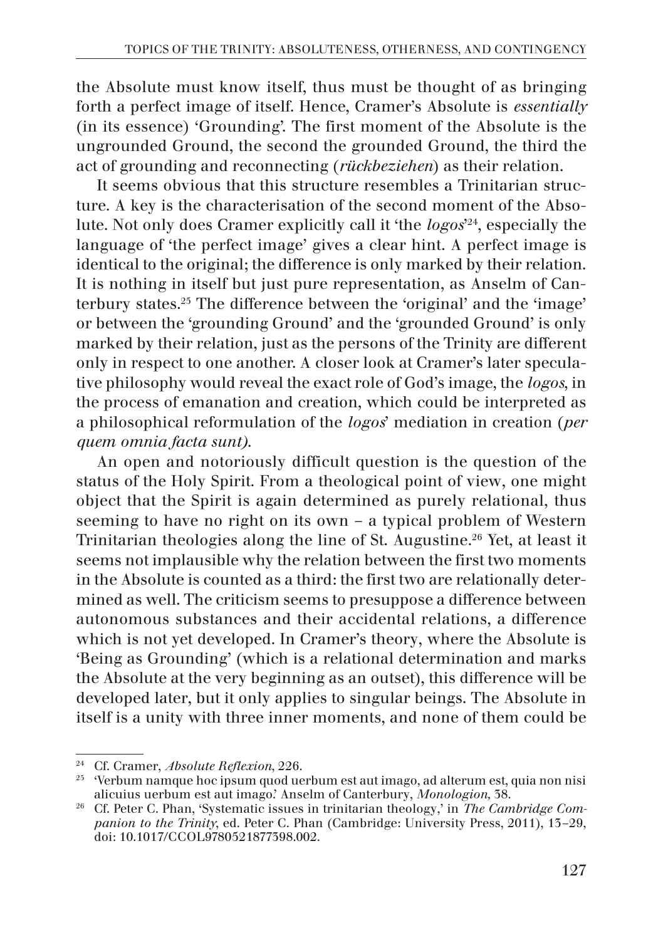the Absolute must know itself, thus must be thought of as bringing forth a perfect image of itself. Hence, Cramer's Absolute is *essentially*  (in its essence) 'Grounding'. The first moment of the Absolute is the ungrounded Ground, the second the grounded Ground, the third the act of grounding and reconnecting (*rückbeziehen*) as their relation.

It seems obvious that this structure resembles a Trinitarian structure. A key is the characterisation of the second moment of the Absolute. Not only does Cramer explicitly call it 'the *logos*' 24, especially the language of 'the perfect image' gives a clear hint. A perfect image is identical to the original; the difference is only marked by their relation. It is nothing in itself but just pure representation, as Anselm of Canterbury states.25 The difference between the 'original' and the 'image' or between the 'grounding Ground' and the 'grounded Ground' is only marked by their relation, just as the persons of the Trinity are different only in respect to one another. A closer look at Cramer's later speculative philosophy would reveal the exact role of God's image, the *logos*, in the process of emanation and creation, which could be interpreted as a philosophical reformulation of the *logos*' mediation in creation (*per quem omnia facta sunt)*.

An open and notoriously difficult question is the question of the status of the Holy Spirit. From a theological point of view, one might object that the Spirit is again determined as purely relational, thus seeming to have no right on its own – a typical problem of Western Trinitarian theologies along the line of St. Augustine.26 Yet, at least it seems not implausible why the relation between the first two moments in the Absolute is counted as a third: the first two are relationally determined as well. The criticism seems to presuppose a difference between autonomous substances and their accidental relations, a difference which is not yet developed. In Cramer's theory, where the Absolute is 'Being as Grounding' (which is a relational determination and marks the Absolute at the very beginning as an outset), this difference will be developed later, but it only applies to singular beings. The Absolute in itself is a unity with three inner moments, and none of them could be

<sup>24</sup> Cf. Cramer, *Absolute Reflexion*, 226.

<sup>&</sup>lt;sup>25</sup> 'Verbum namque hoc ipsum quod uerbum est aut imago, ad alterum est, quia non nisi alicuius uerbum est aut imago.' Anselm of Canterbury, *Monologion,* 38.

<sup>26</sup> Cf. Peter C. Phan, 'Systematic issues in trinitarian theology,' in *The Cambridge Companion to the Trinity*, ed. Peter C. Phan (Cambridge: University Press, 2011), 13–29, doi: 10.1017/CCOL9780521877398.002.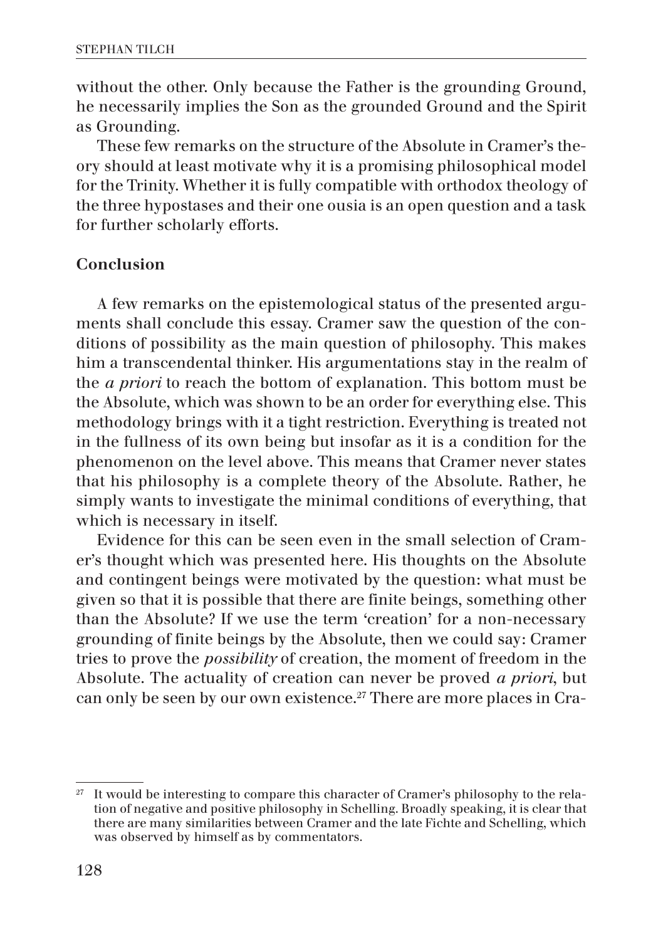without the other. Only because the Father is the grounding Ground, he necessarily implies the Son as the grounded Ground and the Spirit as Grounding.

These few remarks on the structure of the Absolute in Cramer's theory should at least motivate why it is a promising philosophical model for the Trinity. Whether it is fully compatible with orthodox theology of the three hypostases and their one ousia is an open question and a task for further scholarly efforts.

## Conclusion

A few remarks on the epistemological status of the presented arguments shall conclude this essay. Cramer saw the question of the conditions of possibility as the main question of philosophy. This makes him a transcendental thinker. His argumentations stay in the realm of the *a priori* to reach the bottom of explanation. This bottom must be the Absolute, which was shown to be an order for everything else. This methodology brings with it a tight restriction. Everything is treated not in the fullness of its own being but insofar as it is a condition for the phenomenon on the level above. This means that Cramer never states that his philosophy is a complete theory of the Absolute. Rather, he simply wants to investigate the minimal conditions of everything, that which is necessary in itself.

Evidence for this can be seen even in the small selection of Cramer's thought which was presented here. His thoughts on the Absolute and contingent beings were motivated by the question: what must be given so that it is possible that there are finite beings, something other than the Absolute? If we use the term 'creation' for a non-necessary grounding of finite beings by the Absolute, then we could say: Cramer tries to prove the *possibility* of creation, the moment of freedom in the Absolute. The actuality of creation can never be proved *a priori*, but can only be seen by our own existence.<sup>27</sup> There are more places in Cra-

 $27$  It would be interesting to compare this character of Cramer's philosophy to the relation of negative and positive philosophy in Schelling. Broadly speaking, it is clear that there are many similarities between Cramer and the late Fichte and Schelling, which was observed by himself as by commentators.